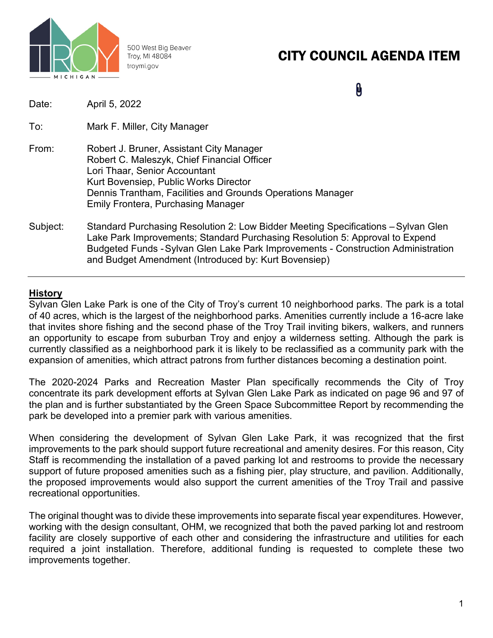

500 West Big Beaver Troy, MI 48084 troymi.gov

# CITY COUNCIL AGENDA ITEM

N.

| Date:    | April 5, 2022                                                                                                                                                                                                                                                                                                  |
|----------|----------------------------------------------------------------------------------------------------------------------------------------------------------------------------------------------------------------------------------------------------------------------------------------------------------------|
| To:      | Mark F. Miller, City Manager                                                                                                                                                                                                                                                                                   |
| From:    | Robert J. Bruner, Assistant City Manager<br>Robert C. Maleszyk, Chief Financial Officer<br>Lori Thaar, Senior Accountant<br>Kurt Bovensiep, Public Works Director<br>Dennis Trantham, Facilities and Grounds Operations Manager<br><b>Emily Frontera, Purchasing Manager</b>                                   |
| Subject: | Standard Purchasing Resolution 2: Low Bidder Meeting Specifications – Sylvan Glen<br>Lake Park Improvements; Standard Purchasing Resolution 5: Approval to Expend<br>Budgeted Funds - Sylvan Glen Lake Park Improvements - Construction Administration<br>and Budget Amendment (Introduced by: Kurt Bovensiep) |

## **History**

Sylvan Glen Lake Park is one of the City of Troy's current 10 neighborhood parks. The park is a total of 40 acres, which is the largest of the neighborhood parks. Amenities currently include a 16-acre lake that invites shore fishing and the second phase of the Troy Trail inviting bikers, walkers, and runners an opportunity to escape from suburban Troy and enjoy a wilderness setting. Although the park is currently classified as a neighborhood park it is likely to be reclassified as a community park with the expansion of amenities, which attract patrons from further distances becoming a destination point.

The 2020-2024 Parks and Recreation Master Plan specifically recommends the City of Troy concentrate its park development efforts at Sylvan Glen Lake Park as indicated on page 96 and 97 of the plan and is further substantiated by the Green Space Subcommittee Report by recommending the park be developed into a premier park with various amenities.

When considering the development of Sylvan Glen Lake Park, it was recognized that the first improvements to the park should support future recreational and amenity desires. For this reason, City Staff is recommending the installation of a paved parking lot and restrooms to provide the necessary support of future proposed amenities such as a fishing pier, play structure, and pavilion. Additionally, the proposed improvements would also support the current amenities of the Troy Trail and passive recreational opportunities.

The original thought was to divide these improvements into separate fiscal year expenditures. However, working with the design consultant, OHM, we recognized that both the paved parking lot and restroom facility are closely supportive of each other and considering the infrastructure and utilities for each required a joint installation. Therefore, additional funding is requested to complete these two improvements together.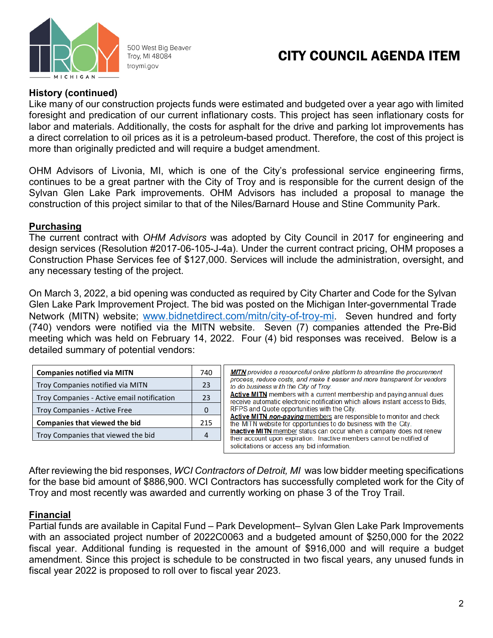

500 West Big Beaver Troy, MI 48084 troymi.gov

## CITY COUNCIL AGENDA ITEM

## **History (continued)**

Like many of our construction projects funds were estimated and budgeted over a year ago with limited foresight and predication of our current inflationary costs. This project has seen inflationary costs for labor and materials. Additionally, the costs for asphalt for the drive and parking lot improvements has a direct correlation to oil prices as it is a petroleum-based product. Therefore, the cost of this project is more than originally predicted and will require a budget amendment.

OHM Advisors of Livonia, MI, which is one of the City's professional service engineering firms, continues to be a great partner with the City of Troy and is responsible for the current design of the Sylvan Glen Lake Park improvements. OHM Advisors has included a proposal to manage the construction of this project similar to that of the Niles/Barnard House and Stine Community Park.

### **Purchasing**

The current contract with *OHM Advisors* was adopted by City Council in 2017 for engineering and design services (Resolution #2017-06-105-J-4a). Under the current contract pricing, OHM proposes a Construction Phase Services fee of \$127,000. Services will include the administration, oversight, and any necessary testing of the project.

On March 3, 2022, a bid opening was conducted as required by City Charter and Code for the Sylvan Glen Lake Park Improvement Project. The bid was posted on the Michigan Inter-governmental Trade Network (MITN) website; [www.bidnetdirect.com/mitn/city-of-troy-mi.](http://www.bidnetdirect.com/mitn/city-of-troy-mi) Seven hundred and forty (740) vendors were notified via the MITN website. Seven (7) companies attended the Pre-Bid meeting which was held on February 14, 2022. Four (4) bid responses was received. Below is a detailed summary of potential vendors:

| <b>Companies notified via MITN</b>         | 740 |
|--------------------------------------------|-----|
| Troy Companies notified via MITN           | 23  |
| Troy Companies - Active email notification | 23  |
| Troy Companies - Active Free               |     |
| <b>Companies that viewed the bid</b>       | 215 |
| Troy Companies that viewed the bid         |     |

| <b>MITN</b> provides a resourceful online platform to streamline the procurement |
|----------------------------------------------------------------------------------|
| process, reduce costs, and make it easier and more transparent for vendors       |
| to do business with the City of Troy.                                            |
| Active MITN members with a current membership and paying annual dues             |
| receive automatic electronic notification which allows instant access to Bids.   |
| RFPS and Quote opportunities with the City.                                      |
| Active MITN non-paying members are responsible to monitor and check              |
| the MITN website for opportunities to do business with the City.                 |
| <b>Inactive MITN</b> member status can occur when a company does not renew       |
| their account upon expiration. Inactive members cannot be notified of            |
| solicitations or access any bid information.                                     |

After reviewing the bid responses, *WCI Contractors of Detroit, MI* was low bidder meeting specifications for the base bid amount of \$886,900. WCI Contractors has successfully completed work for the City of Troy and most recently was awarded and currently working on phase 3 of the Troy Trail.

## **Financial**

Partial funds are available in Capital Fund – Park Development– Sylvan Glen Lake Park Improvements with an associated project number of 2022C0063 and a budgeted amount of \$250,000 for the 2022 fiscal year. Additional funding is requested in the amount of \$916,000 and will require a budget amendment. Since this project is schedule to be constructed in two fiscal years, any unused funds in fiscal year 2022 is proposed to roll over to fiscal year 2023.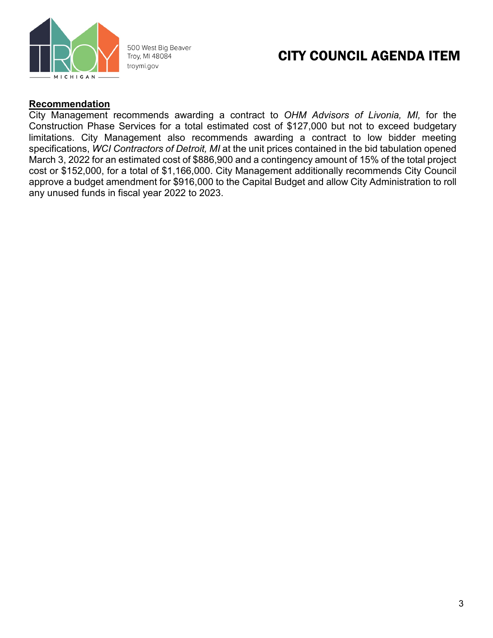

500 West Big Beaver Troy, MI 48084 troymi.gov

## CITY COUNCIL AGENDA ITEM

## **Recommendation**

City Management recommends awarding a contract to *OHM Advisors of Livonia, MI,* for the Construction Phase Services for a total estimated cost of \$127,000 but not to exceed budgetary limitations. City Management also recommends awarding a contract to low bidder meeting specifications, *WCI Contractors of Detroit, MI* at the unit prices contained in the bid tabulation opened March 3, 2022 for an estimated cost of \$886,900 and a contingency amount of 15% of the total project cost or \$152,000, for a total of \$1,166,000. City Management additionally recommends City Council approve a budget amendment for \$916,000 to the Capital Budget and allow City Administration to roll any unused funds in fiscal year 2022 to 2023.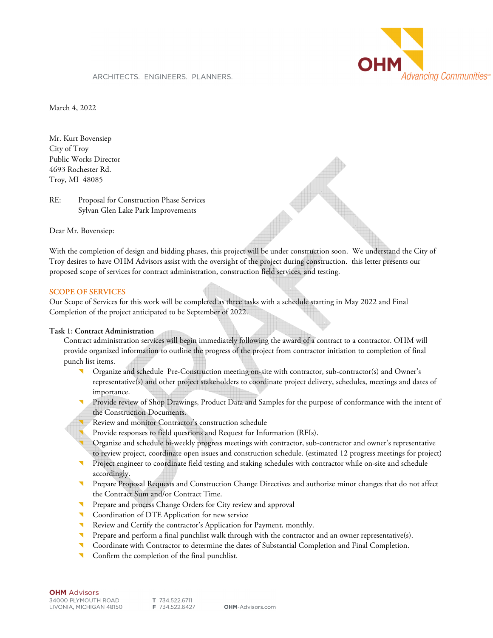

#### ARCHITECTS. ENGINEERS. PLANNERS.

March 4, 2022

Mr. Kurt Bovensiep City of Troy Public Works Director 4693 Rochester Rd. Troy, MI 48085

RE: Proposal for Construction Phase Services Sylvan Glen Lake Park Improvements

Dear Mr. Bovensiep:

With the completion of design and bidding phases, this project will be under construction soon. We understand the City of Troy desires to have OHM Advisors assist with the oversight of the project during construction. this letter presents our proposed scope of services for contract administration, construction field services, and testing.

#### **SCOPE OF SERVICES**

Our Scope of Services for this work will be completed as three tasks with a schedule starting in May 2022 and Final Completion of the project anticipated to be September of 2022.

#### **Task 1: Contract Administration**

Contract administration services will begin immediately following the award of a contract to a contractor. OHM will provide organized information to outline the progress of the project from contractor initiation to completion of final punch list items.

- Organize and schedule Pre-Construction meeting on-site with contractor, sub-contractor(s) and Owner's representative(s) and other project stakeholders to coordinate project delivery, schedules, meetings and dates of importance.
- Provide review of Shop Drawings, Product Data and Samples for the purpose of conformance with the intent of the Construction Documents.
- Review and monitor Contractor's construction schedule
- Provide responses to field questions and Request for Information (RFIs).
- Organize and schedule bi-weekly progress meetings with contractor, sub-contractor and owner's representative to review project, coordinate open issues and construction schedule. (estimated 12 progress meetings for project)
- Project engineer to coordinate field testing and staking schedules with contractor while on-site and schedule accordingly.
- Prepare Proposal Requests and Construction Change Directives and authorize minor changes that do not affect the Contract Sum and/or Contract Time.
- Prepare and process Change Orders for City review and approval
- Coordination of DTE Application for new service
- Review and Certify the contractor's Application for Payment, monthly.
- Prepare and perform a final punchlist walk through with the contractor and an owner representative(s).
- Coordinate with Contractor to determine the dates of Substantial Completion and Final Completion.
- Confirm the completion of the final punchlist.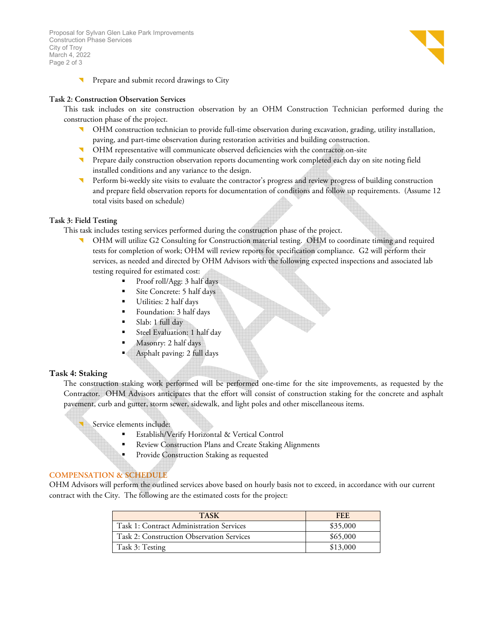Proposal for Sylvan Glen Lake Park Improvements Construction Phase Services City of Troy March 4, 2022 Page 2 of 3



Prepare and submit record drawings to City

#### **Task 2: Construction Observation Services**

This task includes on site construction observation by an OHM Construction Technician performed during the construction phase of the project.

- OHM construction technician to provide full-time observation during excavation, grading, utility installation, paving, and part-time observation during restoration activities and building construction.
- OHM representative will communicate observed deficiencies with the contractor on-site
- Prepare daily construction observation reports documenting work completed each day on site noting field installed conditions and any variance to the design.
- Perform bi-weekly site visits to evaluate the contractor's progress and review progress of building construction and prepare field observation reports for documentation of conditions and follow up requirements. (Assume 12 total visits based on schedule)

#### **Task 3: Field Testing**

This task includes testing services performed during the construction phase of the project.

- OHM will utilize G2 Consulting for Construction material testing. OHM to coordinate timing and required tests for completion of work; OHM will review reports for specification compliance. G2 will perform their services, as needed and directed by OHM Advisors with the following expected inspections and associated lab testing required for estimated cost:
	- Proof roll/Agg: 3 half days
	- Site Concrete: 5 half days
	- Utilities: 2 half days
	- Foundation: 3 half days
	- Slab: 1 full day
	- Steel Evaluation: 1 half day
	- Masonry: 2 half days
	- Asphalt paving: 2 full days

#### **Task 4: Staking**

The construction staking work performed will be performed one-time for the site improvements, as requested by the Contractor. OHM Advisors anticipates that the effort will consist of construction staking for the concrete and asphalt pavement, curb and gutter, storm sewer, sidewalk, and light poles and other miscellaneous items.

Service elements include:

- Establish/Verify Horizontal & Vertical Control
- Review Construction Plans and Create Staking Alignments
- Provide Construction Staking as requested

### **COMPENSATION & SCHEDULE**

OHM Advisors will perform the outlined services above based on hourly basis not to exceed, in accordance with our current contract with the City. The following are the estimated costs for the project:

| <b>TASK</b>                               | FFF.     |  |  |
|-------------------------------------------|----------|--|--|
| Task 1: Contract Administration Services  | \$35,000 |  |  |
| Task 2: Construction Observation Services | \$65,000 |  |  |
| Task 3: Testing                           | \$13,000 |  |  |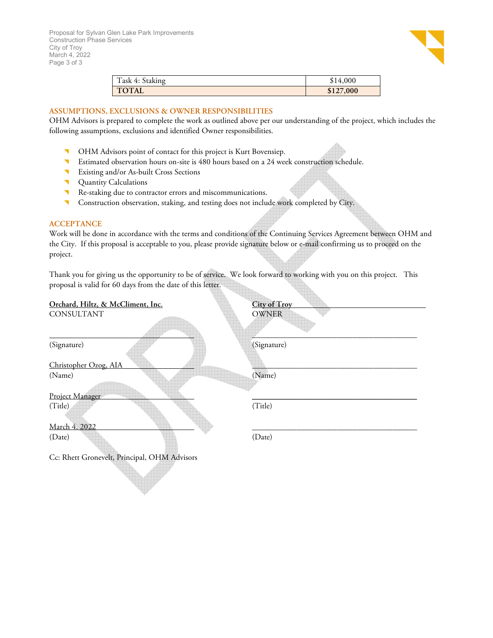

| Task 4: Staking | \$14,000  |
|-----------------|-----------|
| <b>TOTAL</b>    | \$127,000 |

### **ASSUMPTIONS, EXCLUSIONS & OWNER RESPONSIBILITIES**

OHM Advisors is prepared to complete the work as outlined above per our understanding of the project, which includes the following assumptions, exclusions and identified Owner responsibilities.

- OHM Advisors point of contact for this project is Kurt Bovensiep.
- Estimated observation hours on-site is 480 hours based on a 24 week construction schedule.
- Existing and/or As-built Cross Sections
- **Quantity Calculations**
- Re-staking due to contractor errors and miscommunications.
- **Construction observation, staking, and testing does not include work completed by City.**

#### **ACCEPTANCE**

Work will be done in accordance with the terms and conditions of the Continuing Services Agreement between OHM and the City. If this proposal is acceptable to you, please provide signature below or e-mail confirming us to proceed on the project.

Thank you for giving us the opportunity to be of service. We look forward to working with you on this project. This proposal is valid for 60 days from the date of this letter.

| Orchard, Hiltz, & McCliment, Inc.            | <b>City of Troy</b> |  |  |  |
|----------------------------------------------|---------------------|--|--|--|
| CONSULTANT                                   | <b>OWNER</b>        |  |  |  |
|                                              |                     |  |  |  |
| (Signature)                                  | (Signature)         |  |  |  |
| Christopher Ozog, AIA                        |                     |  |  |  |
| (Name)                                       | (Name)              |  |  |  |
| Project Manager                              |                     |  |  |  |
| (Title)                                      | (Title)             |  |  |  |
|                                              |                     |  |  |  |
| March 4, 2022                                |                     |  |  |  |
| (Date)                                       | (Date)              |  |  |  |
|                                              |                     |  |  |  |
| Cc: Rhett Gronevelt, Principal, OHM Advisors |                     |  |  |  |
|                                              |                     |  |  |  |